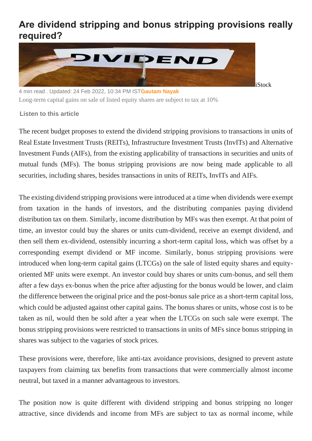## **Are dividend stripping and bonus stripping provisions really required?**



4 min read . Updated: 24 Feb 2022, 10:34 PM IST**[Gautam Nayak](https://www.livemint.com/Search/Link/Author/Gautam-Nayak)** Long-term capital gains on sale of listed equity shares are subject to tax at 10%

**Listen to this article**

The recent budget proposes to extend the dividend stripping provisions to transactions in units of Real Estate Investment Trusts (REITs), Infrastructure Investment Trusts (InvITs) and Alternative Investment Funds (AIFs), from the existing applicability of transactions in securities and units of mutual funds (MFs). The bonus stripping provisions are now being made applicable to all securities, including shares, besides transactions in units of REITs, InvITs and AIFs.

The existing dividend stripping provisions were introduced at a time when dividends were exempt from taxation in the hands of investors, and the distributing companies paying dividend distribution tax on them. Similarly, income distribution by MFs was then exempt. At that point of time, an investor could buy the shares or units cum-dividend, receive an exempt dividend, and then sell them ex-dividend, ostensibly incurring a short-term capital loss, which was offset by a corresponding exempt dividend or MF income. Similarly, bonus stripping provisions were introduced when long-term capital gains (LTCGs) on the sale of listed equity shares and equityoriented MF units were exempt. An investor could buy shares or units cum-bonus, and sell them after a few days ex-bonus when the price after adjusting for the bonus would be lower, and claim the difference between the original price and the post-bonus sale price as a short-term capital loss, which could be adjusted against other capital gains. The bonus shares or units, whose cost is to be taken as nil, would then be sold after a year when the LTCGs on such sale were exempt. The bonus stripping provisions were restricted to transactions in units of MFs since bonus stripping in shares was subject to the vagaries of stock prices.

These provisions were, therefore, like anti-tax avoidance provisions, designed to prevent astute taxpayers from claiming tax benefits from transactions that were commercially almost income neutral, but taxed in a manner advantageous to investors.

The position now is quite different with dividend stripping and bonus stripping no longer attractive, since dividends and income from MFs are subject to tax as normal income, while